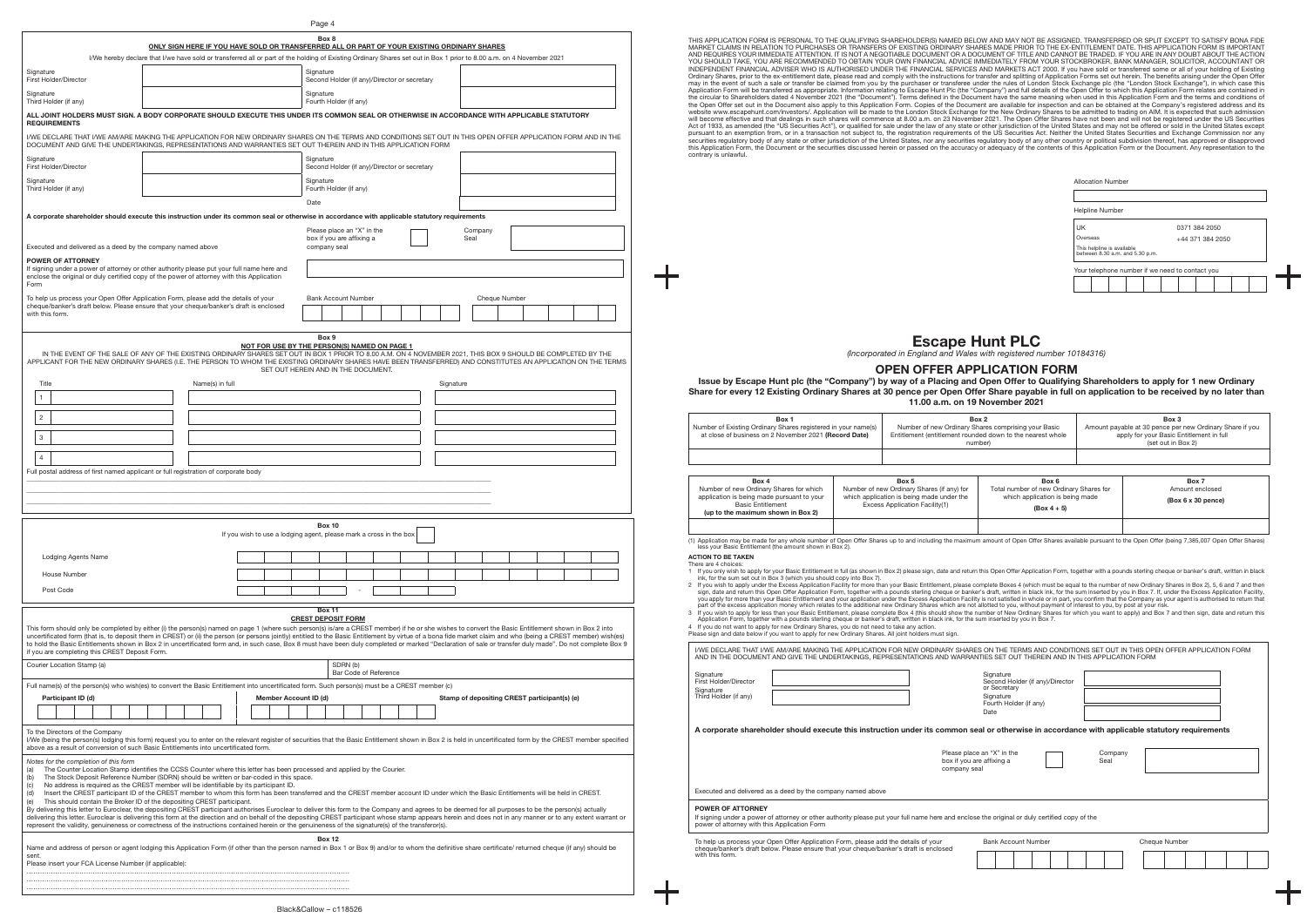|                                                                                                                                                                                                                                                                                                                                                                                                                                                                                                                                                                                                                                                                                                                                                                                                                                                                                                                                                                                                                                                                                                                                                                                                                                                 |                                                                                             |  |                                                                                                           |      | Page 4                                                                  |         |                                              |  |           |                 |               |                                              |  |  |
|-------------------------------------------------------------------------------------------------------------------------------------------------------------------------------------------------------------------------------------------------------------------------------------------------------------------------------------------------------------------------------------------------------------------------------------------------------------------------------------------------------------------------------------------------------------------------------------------------------------------------------------------------------------------------------------------------------------------------------------------------------------------------------------------------------------------------------------------------------------------------------------------------------------------------------------------------------------------------------------------------------------------------------------------------------------------------------------------------------------------------------------------------------------------------------------------------------------------------------------------------|---------------------------------------------------------------------------------------------|--|-----------------------------------------------------------------------------------------------------------|------|-------------------------------------------------------------------------|---------|----------------------------------------------|--|-----------|-----------------|---------------|----------------------------------------------|--|--|
| I/We hereby declare that I/we have sold or transferred all or part of the holding of Existing Ordinary Shares set out in Box 1 prior to 8.00 a.m. on 4 November 2021                                                                                                                                                                                                                                                                                                                                                                                                                                                                                                                                                                                                                                                                                                                                                                                                                                                                                                                                                                                                                                                                            | ONLY SIGN HERE IF YOU HAVE SOLD OR TRANSFERRED ALL OR PART OF YOUR EXISTING ORDINARY SHARES |  |                                                                                                           |      | Box 8                                                                   |         |                                              |  |           |                 |               |                                              |  |  |
| Signature<br>First Holder/Director                                                                                                                                                                                                                                                                                                                                                                                                                                                                                                                                                                                                                                                                                                                                                                                                                                                                                                                                                                                                                                                                                                                                                                                                              |                                                                                             |  |                                                                                                           |      | Signature                                                               |         | Second Holder (if any)/Director or secretary |  |           |                 |               |                                              |  |  |
| Signature<br>Third Holder (if any)                                                                                                                                                                                                                                                                                                                                                                                                                                                                                                                                                                                                                                                                                                                                                                                                                                                                                                                                                                                                                                                                                                                                                                                                              |                                                                                             |  |                                                                                                           |      | Signature<br>Fourth Holder (if any)                                     |         |                                              |  |           |                 |               |                                              |  |  |
| ALL JOINT HOLDERS MUST SIGN. A BODY CORPORATE SHOULD EXECUTE THIS UNDER ITS COMMON SEAL OR OTHERWISE IN ACCORDANCE WITH APPLICABLE STATUTORY<br><b>REQUIREMENTS</b>                                                                                                                                                                                                                                                                                                                                                                                                                                                                                                                                                                                                                                                                                                                                                                                                                                                                                                                                                                                                                                                                             |                                                                                             |  |                                                                                                           |      |                                                                         |         |                                              |  |           |                 |               |                                              |  |  |
| I/WE DECLARE THAT I/WE AM/ARE MAKING THE APPLICATION FOR NEW ORDINARY SHARES ON THE TERMS AND CONDITIONS SET OUT IN THIS OPEN OFFER APPLICATION FORM AND IN THE<br>DOCUMENT AND GIVE THE UNDERTAKINGS, REPRESENTATIONS AND WARRANTIES SET OUT THEREIN AND IN THIS APPLICATION FORM                                                                                                                                                                                                                                                                                                                                                                                                                                                                                                                                                                                                                                                                                                                                                                                                                                                                                                                                                              |                                                                                             |  |                                                                                                           |      |                                                                         |         |                                              |  |           |                 |               |                                              |  |  |
| Signature<br>First Holder/Director                                                                                                                                                                                                                                                                                                                                                                                                                                                                                                                                                                                                                                                                                                                                                                                                                                                                                                                                                                                                                                                                                                                                                                                                              |                                                                                             |  |                                                                                                           |      | Signature                                                               |         | Second Holder (if any)/Director or secretary |  |           |                 |               |                                              |  |  |
| Signature<br>Third Holder (if any)                                                                                                                                                                                                                                                                                                                                                                                                                                                                                                                                                                                                                                                                                                                                                                                                                                                                                                                                                                                                                                                                                                                                                                                                              |                                                                                             |  |                                                                                                           |      | Signature<br>Fourth Holder (if any)                                     |         |                                              |  |           |                 |               |                                              |  |  |
| A corporate shareholder should execute this instruction under its common seal or otherwise in accordance with applicable statutory requirements                                                                                                                                                                                                                                                                                                                                                                                                                                                                                                                                                                                                                                                                                                                                                                                                                                                                                                                                                                                                                                                                                                 |                                                                                             |  |                                                                                                           | Date |                                                                         |         |                                              |  |           |                 |               |                                              |  |  |
| Executed and delivered as a deed by the company named above                                                                                                                                                                                                                                                                                                                                                                                                                                                                                                                                                                                                                                                                                                                                                                                                                                                                                                                                                                                                                                                                                                                                                                                     |                                                                                             |  |                                                                                                           |      | Please place an "X" in the<br>box if you are affixing a<br>company seal |         |                                              |  |           | Company<br>Seal |               |                                              |  |  |
| <b>POWER OF ATTORNEY</b>                                                                                                                                                                                                                                                                                                                                                                                                                                                                                                                                                                                                                                                                                                                                                                                                                                                                                                                                                                                                                                                                                                                                                                                                                        |                                                                                             |  |                                                                                                           |      |                                                                         |         |                                              |  |           |                 |               |                                              |  |  |
| If signing under a power of attorney or other authority please put your full name here and<br>enclose the original or duly certified copy of the power of attorney with this Application<br>Form                                                                                                                                                                                                                                                                                                                                                                                                                                                                                                                                                                                                                                                                                                                                                                                                                                                                                                                                                                                                                                                |                                                                                             |  |                                                                                                           |      |                                                                         |         |                                              |  |           |                 |               |                                              |  |  |
| To help us process your Open Offer Application Form, please add the details of your<br>cheque/banker's draft below. Please ensure that your cheque/banker's draft is enclosed<br>with this form.                                                                                                                                                                                                                                                                                                                                                                                                                                                                                                                                                                                                                                                                                                                                                                                                                                                                                                                                                                                                                                                |                                                                                             |  |                                                                                                           |      | <b>Bank Account Number</b>                                              |         |                                              |  |           |                 | Cheque Number |                                              |  |  |
|                                                                                                                                                                                                                                                                                                                                                                                                                                                                                                                                                                                                                                                                                                                                                                                                                                                                                                                                                                                                                                                                                                                                                                                                                                                 |                                                                                             |  |                                                                                                           |      |                                                                         |         |                                              |  |           |                 |               |                                              |  |  |
| APPLICANT FOR THE NEW ORDINARY SHARES (I.E. THE PERSON TO WHOM THE EXISTING ORDINARY SHARES HAVE BEEN TRANSFERRED) AND CONSTITUTES AN APPLICATION ON THE TERMS<br>Title<br>1<br>$\overline{c}$<br>3<br>$\overline{4}$<br>Full postal address of first named applicant or full registration of corporate body<br>Lodging Agents Name<br>House Number<br>Post Code                                                                                                                                                                                                                                                                                                                                                                                                                                                                                                                                                                                                                                                                                                                                                                                                                                                                                | Name(s) in full                                                                             |  | SET OUT HEREIN AND IN THE DOCUMENT.<br>If you wish to use a lodging agent, please mark a cross in the box |      | <b>Box 10</b>                                                           |         |                                              |  | Signature |                 |               |                                              |  |  |
|                                                                                                                                                                                                                                                                                                                                                                                                                                                                                                                                                                                                                                                                                                                                                                                                                                                                                                                                                                                                                                                                                                                                                                                                                                                 |                                                                                             |  |                                                                                                           |      |                                                                         |         |                                              |  |           |                 |               |                                              |  |  |
| This form should only be completed by either (i) the person(s) named on page 1 (where such person(s) is/are a CREST member) if he or she wishes to convert the Basic Entitlement shown in Box 2 into<br>uncertificated form (that is, to deposit them in CREST) or (ii) the person (or persons jointly) entitled to the Basic Entitlement by virtue of a bona fide market claim and who (being a CREST member) wish(es)<br>to hold the Basic Entitlements shown in Box 2 in uncertificated form and, in such case, Box 8 must have been duly completed or marked "Declaration of sale or transfer duly made". Do not complete Box 9<br>if you are completing this CREST Deposit Form.                                                                                                                                                                                                                                                                                                                                                                                                                                                                                                                                                           |                                                                                             |  |                                                                                                           |      | Box 11<br><b>CREST DEPOSIT FORM</b>                                     |         |                                              |  |           |                 |               |                                              |  |  |
| Courier Location Stamp (a)                                                                                                                                                                                                                                                                                                                                                                                                                                                                                                                                                                                                                                                                                                                                                                                                                                                                                                                                                                                                                                                                                                                                                                                                                      |                                                                                             |  |                                                                                                           |      |                                                                         | SDRN(b) | Bar Code of Reference                        |  |           |                 |               |                                              |  |  |
| Full name(s) of the person(s) who wish(es) to convert the Basic Entitlement into uncertificated form. Such person(s) must be a CREST member (c)<br>Participant ID (d)                                                                                                                                                                                                                                                                                                                                                                                                                                                                                                                                                                                                                                                                                                                                                                                                                                                                                                                                                                                                                                                                           |                                                                                             |  | Member Account ID (d)                                                                                     |      |                                                                         |         |                                              |  |           |                 |               | Stamp of depositing CREST participant(s) (e) |  |  |
| To the Directors of the Company                                                                                                                                                                                                                                                                                                                                                                                                                                                                                                                                                                                                                                                                                                                                                                                                                                                                                                                                                                                                                                                                                                                                                                                                                 |                                                                                             |  |                                                                                                           |      |                                                                         |         |                                              |  |           |                 |               |                                              |  |  |
| I/We (being the person(s) lodging this form) request you to enter on the relevant register of securities that the Basic Entitlement shown in Box 2 is held in uncertificated form by the CREST member specified<br>above as a result of conversion of such Basic Entitlements into uncertificated form.                                                                                                                                                                                                                                                                                                                                                                                                                                                                                                                                                                                                                                                                                                                                                                                                                                                                                                                                         |                                                                                             |  |                                                                                                           |      |                                                                         |         |                                              |  |           |                 |               |                                              |  |  |
| Notes for the completion of this form<br>The Counter Location Stamp identifies the CCSS Counter where this letter has been processed and applied by the Courier.<br>(a)<br>The Stock Deposit Reference Number (SDRN) should be written or bar-coded in this space.<br>(b)<br>No address is required as the CREST member will be identifiable by its participant ID.<br>(c)<br>Insert the CREST participant ID of the CREST member to whom this form has been transferred and the CREST member account ID under which the Basic Entitlements will be held in CREST.<br>(d)<br>This should contain the Broker ID of the depositing CREST participant.<br>(e)<br>By delivering this letter to Euroclear, the depositing CREST participant authorises Euroclear to deliver this form to the Company and agrees to be deemed for all purposes to be the person(s) actually<br>delivering this letter. Euroclear is delivering this form at the direction and on behalf of the depositing CREST participant whose stamp appears herein and does not in any manner or to any extent warrant or<br>represent the validity, genuineness or correctness of the instructions contained herein or the genuineness of the signature(s) of the transferor(s). |                                                                                             |  |                                                                                                           |      | <b>Box 12</b>                                                           |         |                                              |  |           |                 |               |                                              |  |  |
| Name and address of person or agent lodging this Application Form (if other than the person named in Box 1 or Box 9) and/or to whom the definitive share certificate/ returned cheque (if any) should be<br>sent.<br>Please insert your FCA License Number (if applicable):                                                                                                                                                                                                                                                                                                                                                                                                                                                                                                                                                                                                                                                                                                                                                                                                                                                                                                                                                                     |                                                                                             |  |                                                                                                           |      |                                                                         |         |                                              |  |           |                 |               |                                              |  |  |

Black&Callow – c118526

| Box 2<br>Box 1<br>Box 3<br>Number of Existing Ordinary Shares registered in your name(s)<br>Number of new Ordinary Shares comprising your Basic<br>Amount payable at 30 pence per new Ordinary Share if you<br>apply for your Basic Entitlement in full<br>at close of business on 2 November 2021 (Record Date)<br>Entitlement (entitlement rounded down to the nearest whole<br>(set out in Box 2)<br>number)<br>Box 4<br>Box 5<br>Box 6<br>Box 7<br>Number of new Ordinary Shares (if any) for<br>Number of new Ordinary Shares for which<br>Total number of new Ordinary Shares for<br>Amount enclosed<br>which application is being made under the<br>application is being made pursuant to your<br>which application is being made<br>(Box 6 x 30 pence)<br>Excess Application Facility(1)<br><b>Basic Entitlement</b><br>$(Box 4 + 5)$<br>(up to the maximum shown in Box 2)<br>(1) Application may be made for any whole number of Open Offer Shares up to and including the maximum amount of Open Offer Shares available pursuant to the Open Offer (being 7,385,007 Open Offer Shares)<br>less your Basic Entitlement (the amount shown in Box 2).<br><b>ACTION TO BE TAKEN</b><br>There are 4 choices:<br>1 If you only wish to apply for your Basic Entitlement in full (as shown in Box 2) please sign, date and return this Open Offer Application Form, together with a pounds sterling cheque or banker's draft, written in black<br>ink, for the sum set out in Box 3 (which you should copy into Box 7).<br>2 If you wish to apply under the Excess Application Facility for more than your Basic Entitlement, please complete Boxes 4 (which must be equal to the number of new Ordinary Shares in Box 2), 5, 6 and 7 and then<br>sign, date and return this Open Offer Application Form, together with a pounds sterling cheque or banker's draft, written in black ink, for the sum inserted by you in Box 7. If, under the Excess Application Facility,<br>you apply for more than your Basic Entitlement and your application under the Excess Application Facility is not satisfied in whole or in part, you confirm that the Company as your agent is authorised to return that<br>part of the excess application money which relates to the additional new Ordinary Shares which are not allotted to you, without payment of interest to you, by post at your risk.<br>3 If you wish to apply for less than your Basic Entitlement, please complete Box 4 (this should show the number of New Ordinary Shares for which you want to apply) and Box 7 and then sign, date and return this<br>Application Form, together with a pounds sterling cheque or banker's draft, written in black ink, for the sum inserted by you in Box 7.<br>4 If you do not want to apply for new Ordinary Shares, you do not need to take any action.<br>Please sign and date below if you want to apply for new Ordinary Shares. All joint holders must sign.<br>I/WE DECLARE THAT I/WE AM/ARE MAKING THE APPLICATION FOR NEW ORDINARY SHARES ON THE TERMS AND CONDITIONS SET OUT IN THIS OPEN OFFER APPLICATION FORM<br>AND IN THE DOCUMENT AND GIVE THE UNDERTAKINGS, REPRESENTATIONS AND WARRANTIES SET OUT THEREIN AND IN THIS APPLICATION FORM<br>Signature<br>Signature<br>First Holder/Director<br>Second Holder (if any)/Director<br>or Secretary<br>Signature<br>Third Holder (if any)<br>Signature<br>Fourth Holder (if any) | Date<br>A corporate shareholder should execute this instruction under its common seal or otherwise in accordance with applicable statutory requirements<br>Please place an "X" in the<br>Company<br>box if you are affixing a<br>Seal<br>company seal<br>Executed and delivered as a deed by the company named above<br><b>POWER OF ATTORNEY</b><br>If signing under a power of attorney or other authority please put your full name here and enclose the original or duly certified copy of the<br>power of attorney with this Application Form<br>To help us process your Open Offer Application Form, please add the details of your<br><b>Bank Account Number</b><br><b>Cheque Number</b><br>cheque/banker's draft below. Please ensure that your cheque/banker's draft is enclosed<br>with this form. |  |  |  |  |  |  |  |  |  |  |
|------------------------------------------------------------------------------------------------------------------------------------------------------------------------------------------------------------------------------------------------------------------------------------------------------------------------------------------------------------------------------------------------------------------------------------------------------------------------------------------------------------------------------------------------------------------------------------------------------------------------------------------------------------------------------------------------------------------------------------------------------------------------------------------------------------------------------------------------------------------------------------------------------------------------------------------------------------------------------------------------------------------------------------------------------------------------------------------------------------------------------------------------------------------------------------------------------------------------------------------------------------------------------------------------------------------------------------------------------------------------------------------------------------------------------------------------------------------------------------------------------------------------------------------------------------------------------------------------------------------------------------------------------------------------------------------------------------------------------------------------------------------------------------------------------------------------------------------------------------------------------------------------------------------------------------------------------------------------------------------------------------------------------------------------------------------------------------------------------------------------------------------------------------------------------------------------------------------------------------------------------------------------------------------------------------------------------------------------------------------------------------------------------------------------------------------------------------------------------------------------------------------------------------------------------------------------------------------------------------------------------------------------------------------------------------------------------------------------------------------------------------------------------------------------------------------------------------------------------------------------------------------------------------------------------------------------------------------------------------------------------------------------------------------------------------------------------------------------------------------------------------------------------------------------------------------------------------------------------------------------------------------------------------------------------------------------------------------------------------------------------------------------------------------------------------------------|-------------------------------------------------------------------------------------------------------------------------------------------------------------------------------------------------------------------------------------------------------------------------------------------------------------------------------------------------------------------------------------------------------------------------------------------------------------------------------------------------------------------------------------------------------------------------------------------------------------------------------------------------------------------------------------------------------------------------------------------------------------------------------------------------------------|--|--|--|--|--|--|--|--|--|--|
|                                                                                                                                                                                                                                                                                                                                                                                                                                                                                                                                                                                                                                                                                                                                                                                                                                                                                                                                                                                                                                                                                                                                                                                                                                                                                                                                                                                                                                                                                                                                                                                                                                                                                                                                                                                                                                                                                                                                                                                                                                                                                                                                                                                                                                                                                                                                                                                                                                                                                                                                                                                                                                                                                                                                                                                                                                                                                                                                                                                                                                                                                                                                                                                                                                                                                                                                                                                                                                                |                                                                                                                                                                                                                                                                                                                                                                                                                                                                                                                                                                                                                                                                                                                                                                                                             |  |  |  |  |  |  |  |  |  |  |
|                                                                                                                                                                                                                                                                                                                                                                                                                                                                                                                                                                                                                                                                                                                                                                                                                                                                                                                                                                                                                                                                                                                                                                                                                                                                                                                                                                                                                                                                                                                                                                                                                                                                                                                                                                                                                                                                                                                                                                                                                                                                                                                                                                                                                                                                                                                                                                                                                                                                                                                                                                                                                                                                                                                                                                                                                                                                                                                                                                                                                                                                                                                                                                                                                                                                                                                                                                                                                                                |                                                                                                                                                                                                                                                                                                                                                                                                                                                                                                                                                                                                                                                                                                                                                                                                             |  |  |  |  |  |  |  |  |  |  |
|                                                                                                                                                                                                                                                                                                                                                                                                                                                                                                                                                                                                                                                                                                                                                                                                                                                                                                                                                                                                                                                                                                                                                                                                                                                                                                                                                                                                                                                                                                                                                                                                                                                                                                                                                                                                                                                                                                                                                                                                                                                                                                                                                                                                                                                                                                                                                                                                                                                                                                                                                                                                                                                                                                                                                                                                                                                                                                                                                                                                                                                                                                                                                                                                                                                                                                                                                                                                                                                |                                                                                                                                                                                                                                                                                                                                                                                                                                                                                                                                                                                                                                                                                                                                                                                                             |  |  |  |  |  |  |  |  |  |  |
|                                                                                                                                                                                                                                                                                                                                                                                                                                                                                                                                                                                                                                                                                                                                                                                                                                                                                                                                                                                                                                                                                                                                                                                                                                                                                                                                                                                                                                                                                                                                                                                                                                                                                                                                                                                                                                                                                                                                                                                                                                                                                                                                                                                                                                                                                                                                                                                                                                                                                                                                                                                                                                                                                                                                                                                                                                                                                                                                                                                                                                                                                                                                                                                                                                                                                                                                                                                                                                                |                                                                                                                                                                                                                                                                                                                                                                                                                                                                                                                                                                                                                                                                                                                                                                                                             |  |  |  |  |  |  |  |  |  |  |
|                                                                                                                                                                                                                                                                                                                                                                                                                                                                                                                                                                                                                                                                                                                                                                                                                                                                                                                                                                                                                                                                                                                                                                                                                                                                                                                                                                                                                                                                                                                                                                                                                                                                                                                                                                                                                                                                                                                                                                                                                                                                                                                                                                                                                                                                                                                                                                                                                                                                                                                                                                                                                                                                                                                                                                                                                                                                                                                                                                                                                                                                                                                                                                                                                                                                                                                                                                                                                                                |                                                                                                                                                                                                                                                                                                                                                                                                                                                                                                                                                                                                                                                                                                                                                                                                             |  |  |  |  |  |  |  |  |  |  |
|                                                                                                                                                                                                                                                                                                                                                                                                                                                                                                                                                                                                                                                                                                                                                                                                                                                                                                                                                                                                                                                                                                                                                                                                                                                                                                                                                                                                                                                                                                                                                                                                                                                                                                                                                                                                                                                                                                                                                                                                                                                                                                                                                                                                                                                                                                                                                                                                                                                                                                                                                                                                                                                                                                                                                                                                                                                                                                                                                                                                                                                                                                                                                                                                                                                                                                                                                                                                                                                |                                                                                                                                                                                                                                                                                                                                                                                                                                                                                                                                                                                                                                                                                                                                                                                                             |  |  |  |  |  |  |  |  |  |  |
|                                                                                                                                                                                                                                                                                                                                                                                                                                                                                                                                                                                                                                                                                                                                                                                                                                                                                                                                                                                                                                                                                                                                                                                                                                                                                                                                                                                                                                                                                                                                                                                                                                                                                                                                                                                                                                                                                                                                                                                                                                                                                                                                                                                                                                                                                                                                                                                                                                                                                                                                                                                                                                                                                                                                                                                                                                                                                                                                                                                                                                                                                                                                                                                                                                                                                                                                                                                                                                                |                                                                                                                                                                                                                                                                                                                                                                                                                                                                                                                                                                                                                                                                                                                                                                                                             |  |  |  |  |  |  |  |  |  |  |
|                                                                                                                                                                                                                                                                                                                                                                                                                                                                                                                                                                                                                                                                                                                                                                                                                                                                                                                                                                                                                                                                                                                                                                                                                                                                                                                                                                                                                                                                                                                                                                                                                                                                                                                                                                                                                                                                                                                                                                                                                                                                                                                                                                                                                                                                                                                                                                                                                                                                                                                                                                                                                                                                                                                                                                                                                                                                                                                                                                                                                                                                                                                                                                                                                                                                                                                                                                                                                                                |                                                                                                                                                                                                                                                                                                                                                                                                                                                                                                                                                                                                                                                                                                                                                                                                             |  |  |  |  |  |  |  |  |  |  |
|                                                                                                                                                                                                                                                                                                                                                                                                                                                                                                                                                                                                                                                                                                                                                                                                                                                                                                                                                                                                                                                                                                                                                                                                                                                                                                                                                                                                                                                                                                                                                                                                                                                                                                                                                                                                                                                                                                                                                                                                                                                                                                                                                                                                                                                                                                                                                                                                                                                                                                                                                                                                                                                                                                                                                                                                                                                                                                                                                                                                                                                                                                                                                                                                                                                                                                                                                                                                                                                |                                                                                                                                                                                                                                                                                                                                                                                                                                                                                                                                                                                                                                                                                                                                                                                                             |  |  |  |  |  |  |  |  |  |  |
|                                                                                                                                                                                                                                                                                                                                                                                                                                                                                                                                                                                                                                                                                                                                                                                                                                                                                                                                                                                                                                                                                                                                                                                                                                                                                                                                                                                                                                                                                                                                                                                                                                                                                                                                                                                                                                                                                                                                                                                                                                                                                                                                                                                                                                                                                                                                                                                                                                                                                                                                                                                                                                                                                                                                                                                                                                                                                                                                                                                                                                                                                                                                                                                                                                                                                                                                                                                                                                                |                                                                                                                                                                                                                                                                                                                                                                                                                                                                                                                                                                                                                                                                                                                                                                                                             |  |  |  |  |  |  |  |  |  |  |

# **Escape Hunt PLC**

*(Incorporated in England and Wales with registered number 10184316)*

## **OPEN OFFER APPLICATION FORM**

**Issue by Escape Hunt plc (the "Company") by way of a Placing and Open Offer to Qualifying Shareholders to apply for 1 new Ordinary Share for every 12 Existing Ordinary Shares at 30 pence per Open Offer Share payable in full on application to be received by no later than 11.00 a.m. on 19 November 2021**

| UK                                                            |  | 0371 384 2050    |  |  |  |
|---------------------------------------------------------------|--|------------------|--|--|--|
| Overseas                                                      |  | +44 371 384 2050 |  |  |  |
| This helpline is available<br>between 8.30 a.m. and 5.30 p.m. |  |                  |  |  |  |

┭

………………………………………………………………………………………………………………………………… ………………………………………………………………………………………………………………………………… ………………………………………………………………………………………………………………………………… THIS APPLICATION FORMI SPERSONAL TO THE QUALIFYING SHAREHOLDER(S) NAMED BELOW AND MAY NOT BE ASSIGNIES. TRANSFERED OR SPLIT EXCEPT TO SATISFACTO AND WITHOLD TAKE THAT IN APPLICATION FORMIS IMPORTANT<br>YOU SHOULD TAKE, YOU AR